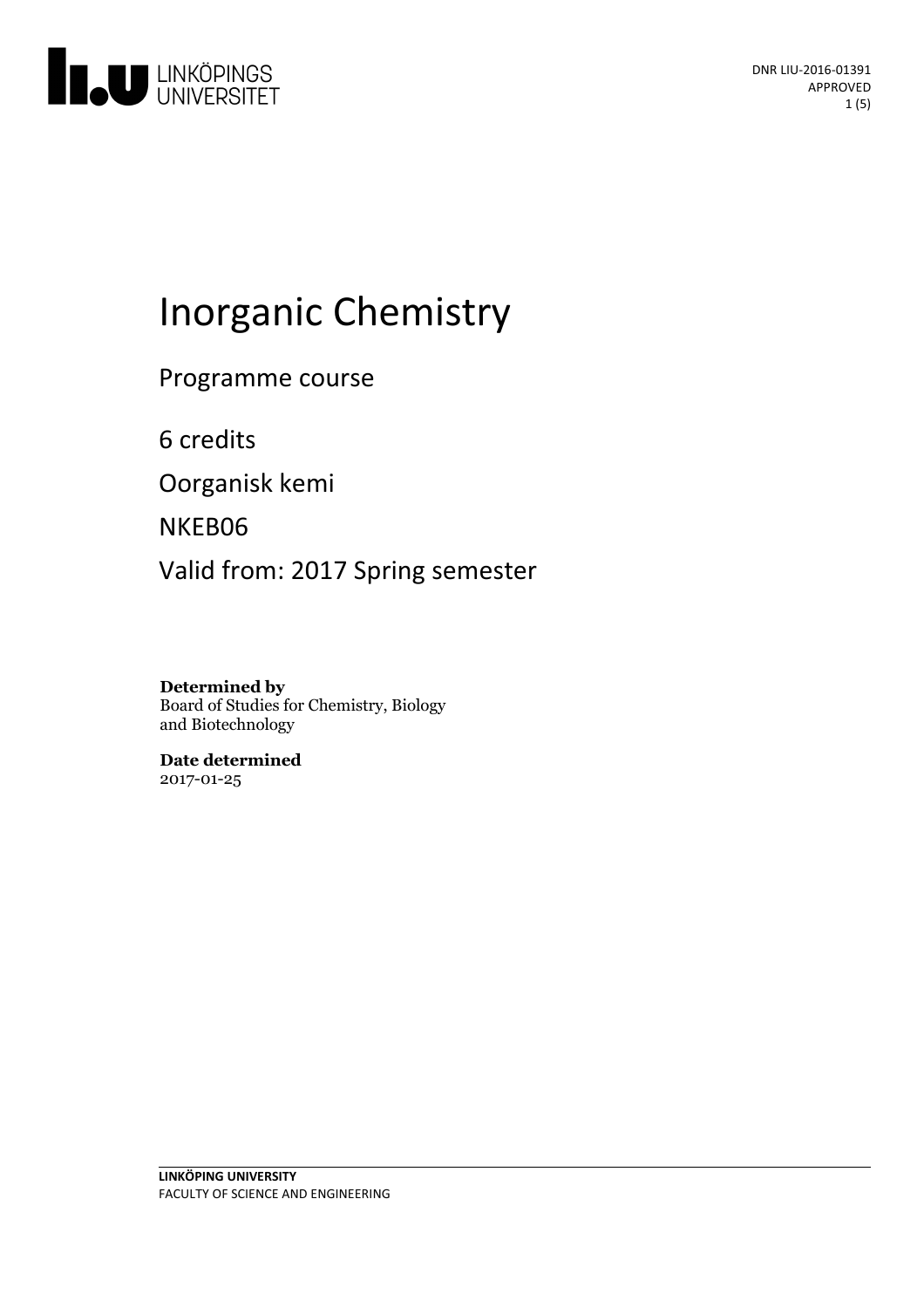

# Inorganic Chemistry

Programme course

6 credits

Oorganisk kemi

NKEB06

Valid from: 2017 Spring semester

**Determined by**

Board of Studies for Chemistry, Biology and Biotechnology

**Date determined** 2017-01-25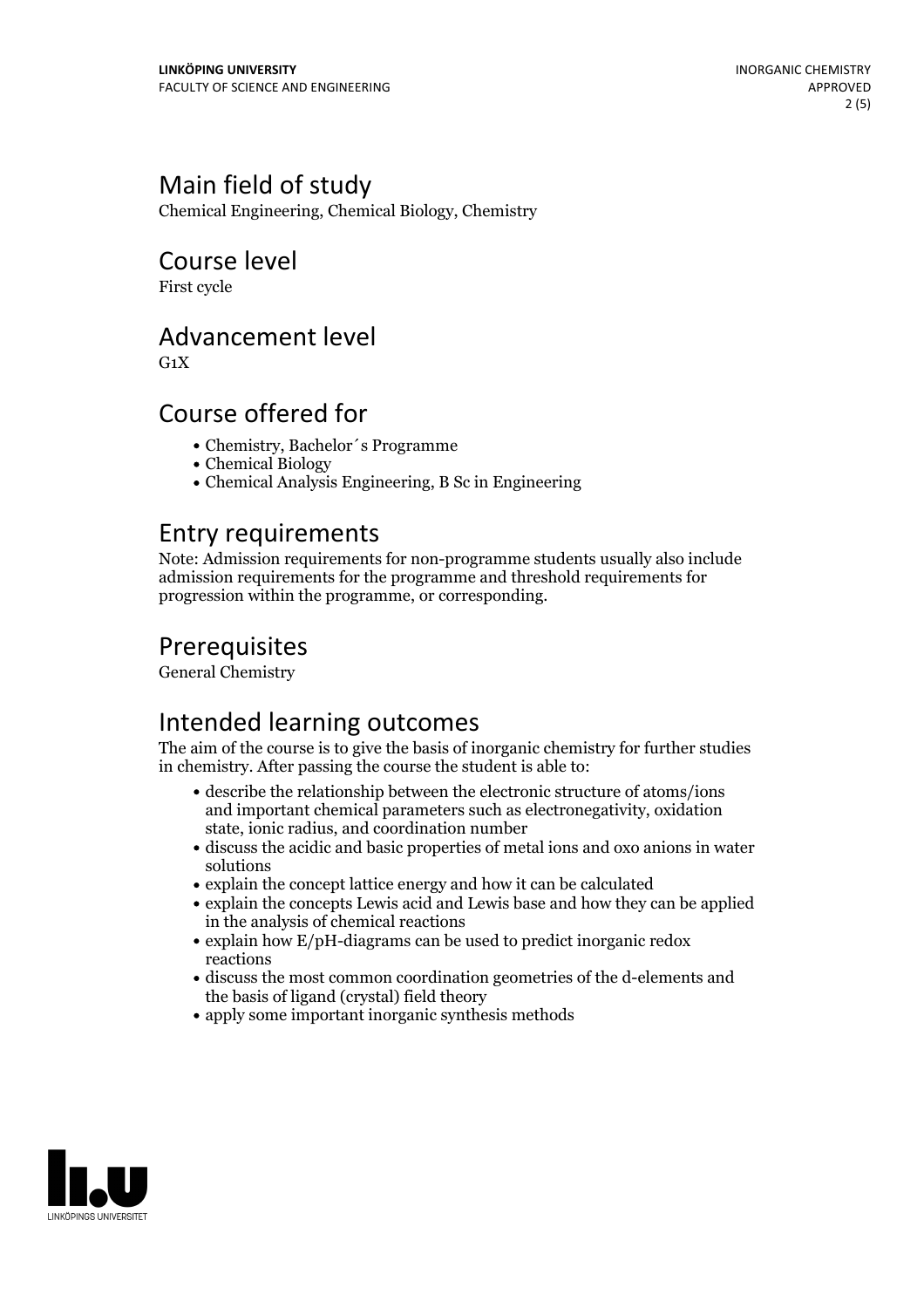#### Main field of study

Chemical Engineering, Chemical Biology, Chemistry

#### Course level

First cycle

#### Advancement level

 $G_1X$ 

#### Course offered for

- Chemistry, Bachelor´s Programme
- Chemical Biology
- Chemical Analysis Engineering, B Sc in Engineering

#### Entry requirements

Note: Admission requirements for non-programme students usually also include admission requirements for the programme and threshold requirements for progression within the programme, or corresponding.

### **Prerequisites**

General Chemistry

# Intended learning outcomes

The aim of the course is to give the basis of inorganic chemistry for further studies in chemistry. After passing the course the student is able to:

- describe the relationship between the electronic structure of atoms/ions and important chemical parameters such as electronegativity, oxidation state, ionic radius, and coordination number
- discuss the acidic and basic properties of metal ions and oxo anions in water solutions
- explain the concept lattice energy and how it can be calculated
- explain the concepts Lewis acid and Lewis base and how they can be applied in the analysis of chemical reactions
- explain how E/pH-diagrams can be used to predict inorganic redox reactions
- discuss the most common coordination geometries of the d-elements and the basis of ligand (crystal) field theory
- apply some important inorganic synthesis methods

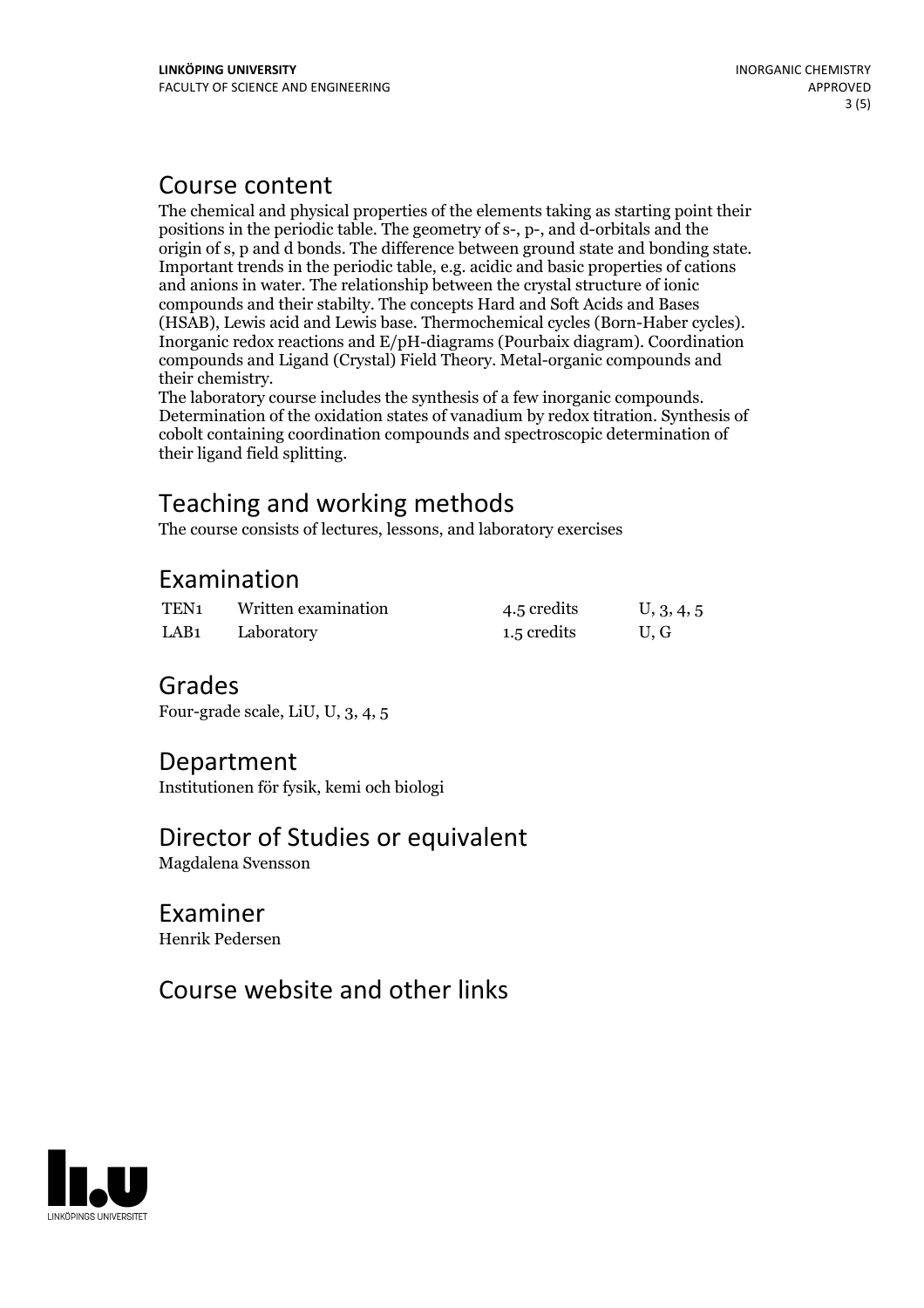#### Course content

The chemical and physical properties of the elements taking as starting point their positions in the periodic table. The geometry of s-, p-, and d-orbitals and the origin of s, p and d bonds. The difference between ground state and bonding state. Important trends in the periodic table, e.g. acidic and basic properties of cations and anions in water. The relationship between the crystal structure of ionic compounds and their stabilty. The concepts Hard and Soft Acids and Bases (HSAB), Lewis acid and Lewis base. Thermochemical cycles (Born-Haber cycles). Inorganic redox reactions and E/pH-diagrams (Pourbaix diagram). Coordination compounds and Ligand (Crystal) Field Theory. Metal-organic compounds and

their chemistry. The laboratory course includes the synthesis of <sup>a</sup> few inorganic compounds. Determination of the oxidation states of vanadium by redox titration. Synthesis of cobolt containing coordination compounds and spectroscopic determination of their ligand field splitting.

# Teaching and working methods

The course consists of lectures, lessons, and laboratory exercises

#### Examination

| TEN <sub>1</sub> | Written examination | 4.5 credits | U, 3, 4, 5 |
|------------------|---------------------|-------------|------------|
| LAB <sub>1</sub> | Laboratory          | 1.5 credits | U.G        |

#### Grades

Four-grade scale, LiU, U, 3, 4, 5

#### Department

Institutionen för fysik, kemi och biologi

#### Director of Studies or equivalent

Magdalena Svensson

#### Examiner Henrik Pedersen

## Course website and other links

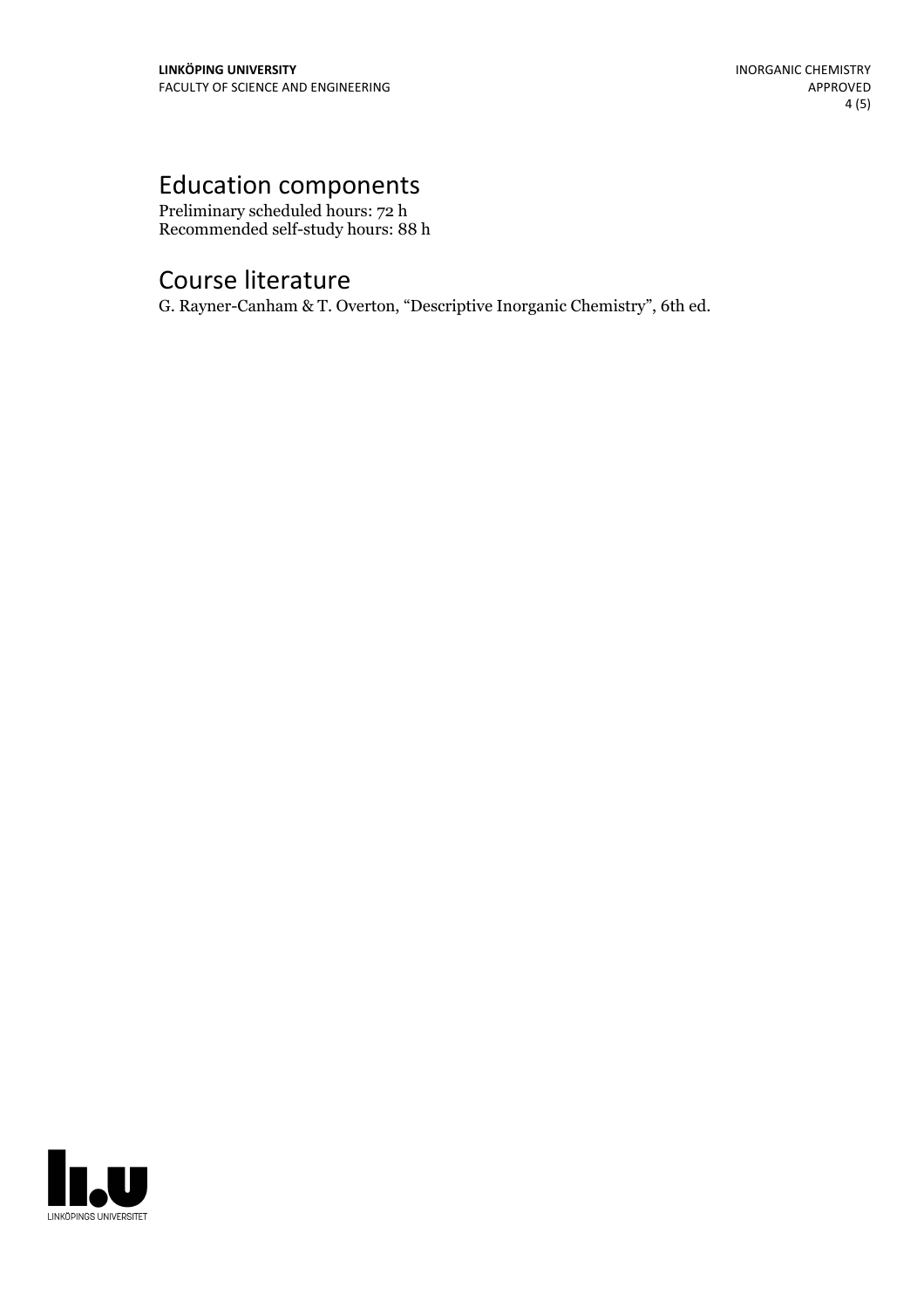# Education components

Preliminary scheduled hours: 72 h Recommended self-study hours: 88 h

# Course literature

G. Rayner-Canham & T. Overton, "Descriptive Inorganic Chemistry", 6th ed.